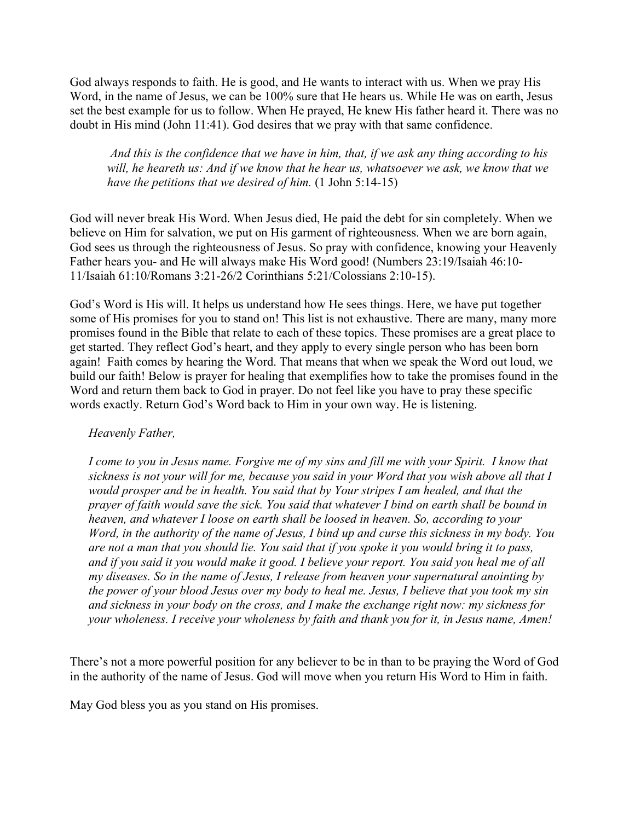God always responds to faith. He is good, and He wants to interact with us. When we pray His Word, in the name of Jesus, we can be 100% sure that He hears us. While He was on earth, Jesus set the best example for us to follow. When He prayed, He knew His father heard it. There was no doubt in His mind (John 11:41). God desires that we pray with that same confidence.

*And this is the confidence that we have in him, that, if we ask any thing according to his will, he heareth us: And if we know that he hear us, whatsoever we ask, we know that we have the petitions that we desired of him.* (1 John 5:14-15)

God will never break His Word. When Jesus died, He paid the debt for sin completely. When we believe on Him for salvation, we put on His garment of righteousness. When we are born again, God sees us through the righteousness of Jesus. So pray with confidence, knowing your Heavenly Father hears you- and He will always make His Word good! (Numbers 23:19/Isaiah 46:10- 11/Isaiah 61:10/Romans 3:21-26/2 Corinthians 5:21/Colossians 2:10-15).

God's Word is His will. It helps us understand how He sees things. Here, we have put together some of His promises for you to stand on! This list is not exhaustive. There are many, many more promises found in the Bible that relate to each of these topics. These promises are a great place to get started. They reflect God's heart, and they apply to every single person who has been born again! Faith comes by hearing the Word. That means that when we speak the Word out loud, we build our faith! Below is prayer for healing that exemplifies how to take the promises found in the Word and return them back to God in prayer. Do not feel like you have to pray these specific words exactly. Return God's Word back to Him in your own way. He is listening.

#### *Heavenly Father,*

*I come to you in Jesus name. Forgive me of my sins and fill me with your Spirit. I know that sickness is not your will for me, because you said in your Word that you wish above all that I would prosper and be in health. You said that by Your stripes I am healed, and that the prayer of faith would save the sick. You said that whatever I bind on earth shall be bound in heaven, and whatever I loose on earth shall be loosed in heaven. So, according to your Word, in the authority of the name of Jesus, I bind up and curse this sickness in my body. You are not a man that you should lie. You said that if you spoke it you would bring it to pass, and if you said it you would make it good. I believe your report. You said you heal me of all my diseases. So in the name of Jesus, I release from heaven your supernatural anointing by the power of your blood Jesus over my body to heal me. Jesus, I believe that you took my sin and sickness in your body on the cross, and I make the exchange right now: my sickness for your wholeness. I receive your wholeness by faith and thank you for it, in Jesus name, Amen!*

There's not a more powerful position for any believer to be in than to be praying the Word of God in the authority of the name of Jesus. God will move when you return His Word to Him in faith.

May God bless you as you stand on His promises.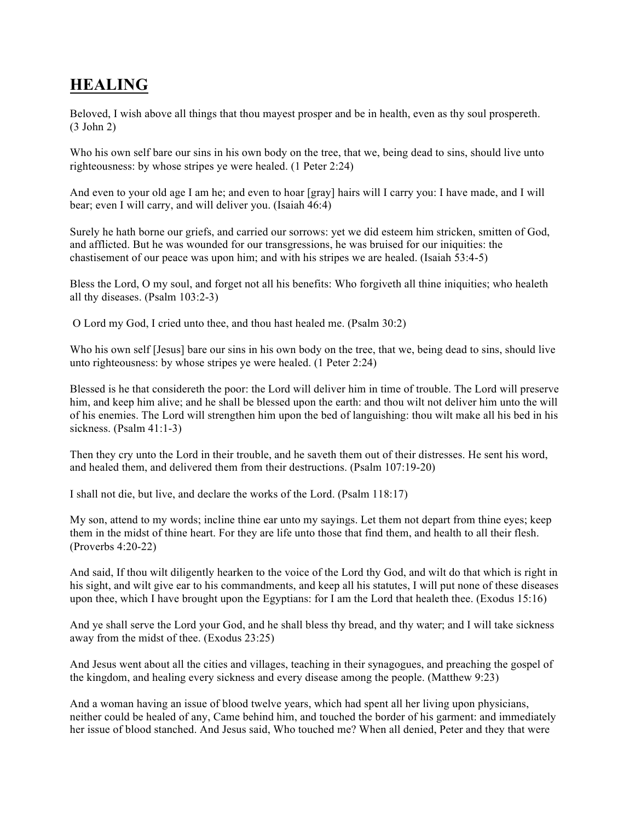## **HEALING**

Beloved, I wish above all things that thou mayest prosper and be in health, even as thy soul prospereth. (3 John 2)

Who his own self bare our sins in his own body on the tree, that we, being dead to sins, should live unto righteousness: by whose stripes ye were healed. (1 Peter 2:24)

And even to your old age I am he; and even to hoar [gray] hairs will I carry you: I have made, and I will bear; even I will carry, and will deliver you. (Isaiah 46:4)

Surely he hath borne our griefs, and carried our sorrows: yet we did esteem him stricken, smitten of God, and afflicted. But he was wounded for our transgressions, he was bruised for our iniquities: the chastisement of our peace was upon him; and with his stripes we are healed. (Isaiah  $\overline{53:4-5}$ )

Bless the Lord, O my soul, and forget not all his benefits: Who forgiveth all thine iniquities; who healeth all thy diseases. (Psalm 103:2-3)

O Lord my God, I cried unto thee, and thou hast healed me. (Psalm 30:2)

Who his own self [Jesus] bare our sins in his own body on the tree, that we, being dead to sins, should live unto righteousness: by whose stripes ye were healed. (1 Peter 2:24)

Blessed is he that considereth the poor: the Lord will deliver him in time of trouble. The Lord will preserve him, and keep him alive; and he shall be blessed upon the earth: and thou wilt not deliver him unto the will of his enemies. The Lord will strengthen him upon the bed of languishing: thou wilt make all his bed in his sickness. (Psalm 41:1-3)

Then they cry unto the Lord in their trouble, and he saveth them out of their distresses. He sent his word, and healed them, and delivered them from their destructions. (Psalm 107:19-20)

I shall not die, but live, and declare the works of the Lord. (Psalm 118:17)

My son, attend to my words; incline thine ear unto my sayings. Let them not depart from thine eyes; keep them in the midst of thine heart. For they are life unto those that find them, and health to all their flesh. (Proverbs 4:20-22)

And said, If thou wilt diligently hearken to the voice of the Lord thy God, and wilt do that which is right in his sight, and wilt give ear to his commandments, and keep all his statutes, I will put none of these diseases upon thee, which I have brought upon the Egyptians: for I am the Lord that healeth thee. (Exodus 15:16)

And ye shall serve the Lord your God, and he shall bless thy bread, and thy water; and I will take sickness away from the midst of thee. (Exodus 23:25)

And Jesus went about all the cities and villages, teaching in their synagogues, and preaching the gospel of the kingdom, and healing every sickness and every disease among the people. (Matthew 9:23)

And a woman having an issue of blood twelve years, which had spent all her living upon physicians, neither could be healed of any, Came behind him, and touched the border of his garment: and immediately her issue of blood stanched. And Jesus said, Who touched me? When all denied, Peter and they that were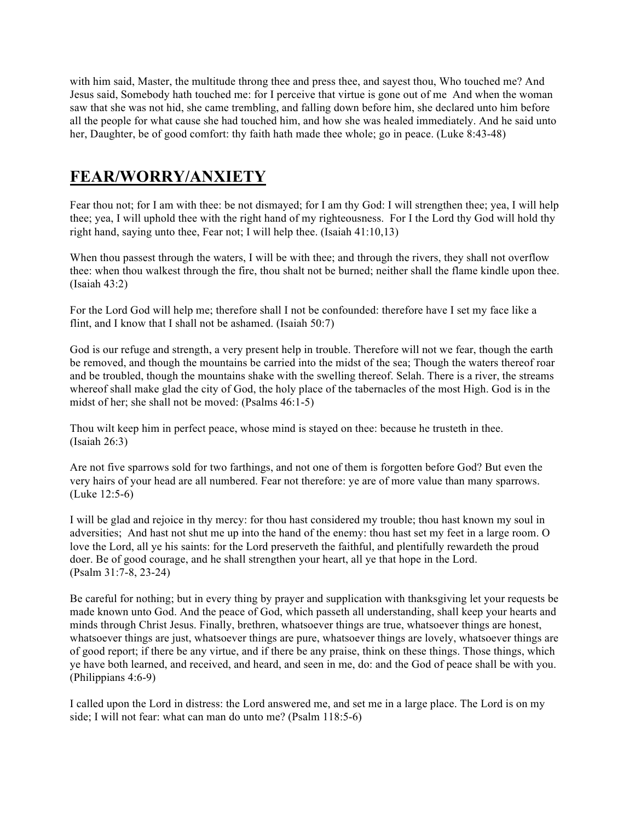with him said, Master, the multitude throng thee and press thee, and sayest thou, Who touched me? And Jesus said, Somebody hath touched me: for I perceive that virtue is gone out of me And when the woman saw that she was not hid, she came trembling, and falling down before him, she declared unto him before all the people for what cause she had touched him, and how she was healed immediately. And he said unto her, Daughter, be of good comfort: thy faith hath made thee whole; go in peace. (Luke 8:43-48)

#### **FEAR/WORRY/ANXIETY**

Fear thou not; for I am with thee: be not dismayed; for I am thy God: I will strengthen thee; yea, I will help thee; yea, I will uphold thee with the right hand of my righteousness. For I the Lord thy God will hold thy right hand, saying unto thee, Fear not; I will help thee. (Isaiah 41:10,13)

When thou passest through the waters, I will be with thee; and through the rivers, they shall not overflow thee: when thou walkest through the fire, thou shalt not be burned; neither shall the flame kindle upon thee. (Isaiah 43:2)

For the Lord God will help me; therefore shall I not be confounded: therefore have I set my face like a flint, and I know that I shall not be ashamed. (Isaiah 50:7)

God is our refuge and strength, a very present help in trouble. Therefore will not we fear, though the earth be removed, and though the mountains be carried into the midst of the sea; Though the waters thereof roar and be troubled, though the mountains shake with the swelling thereof. Selah. There is a river, the streams whereof shall make glad the city of God, the holy place of the tabernacles of the most High. God is in the midst of her; she shall not be moved: (Psalms 46:1-5)

Thou wilt keep him in perfect peace, whose mind is stayed on thee: because he trusteth in thee. (Isaiah 26:3)

Are not five sparrows sold for two farthings, and not one of them is forgotten before God? But even the very hairs of your head are all numbered. Fear not therefore: ye are of more value than many sparrows. (Luke 12:5-6)

I will be glad and rejoice in thy mercy: for thou hast considered my trouble; thou hast known my soul in adversities; And hast not shut me up into the hand of the enemy: thou hast set my feet in a large room. O love the Lord, all ye his saints: for the Lord preserveth the faithful, and plentifully rewardeth the proud doer. Be of good courage, and he shall strengthen your heart, all ye that hope in the Lord. (Psalm 31:7-8, 23-24)

Be careful for nothing; but in every thing by prayer and supplication with thanksgiving let your requests be made known unto God. And the peace of God, which passeth all understanding, shall keep your hearts and minds through Christ Jesus. Finally, brethren, whatsoever things are true, whatsoever things are honest, whatsoever things are just, whatsoever things are pure, whatsoever things are lovely, whatsoever things are of good report; if there be any virtue, and if there be any praise, think on these things. Those things, which ye have both learned, and received, and heard, and seen in me, do: and the God of peace shall be with you. (Philippians 4:6-9)

I called upon the Lord in distress: the Lord answered me, and set me in a large place. The Lord is on my side; I will not fear: what can man do unto me? (Psalm 118:5-6)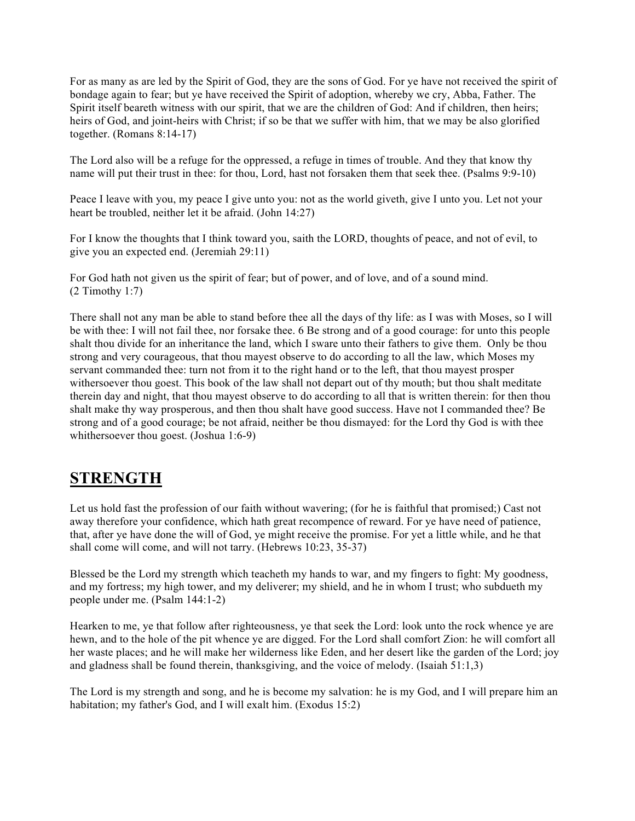For as many as are led by the Spirit of God, they are the sons of God. For ye have not received the spirit of bondage again to fear; but ye have received the Spirit of adoption, whereby we cry, Abba, Father. The Spirit itself beareth witness with our spirit, that we are the children of God: And if children, then heirs; heirs of God, and joint-heirs with Christ; if so be that we suffer with him, that we may be also glorified together. (Romans 8:14-17)

The Lord also will be a refuge for the oppressed, a refuge in times of trouble. And they that know thy name will put their trust in thee: for thou, Lord, hast not forsaken them that seek thee. (Psalms 9:9-10)

Peace I leave with you, my peace I give unto you: not as the world giveth, give I unto you. Let not your heart be troubled, neither let it be afraid. (John 14:27)

For I know the thoughts that I think toward you, saith the LORD, thoughts of peace, and not of evil, to give you an expected end. (Jeremiah 29:11)

For God hath not given us the spirit of fear; but of power, and of love, and of a sound mind. (2 Timothy 1:7)

There shall not any man be able to stand before thee all the days of thy life: as I was with Moses, so I will be with thee: I will not fail thee, nor forsake thee. 6 Be strong and of a good courage: for unto this people shalt thou divide for an inheritance the land, which I sware unto their fathers to give them. Only be thou strong and very courageous, that thou mayest observe to do according to all the law, which Moses my servant commanded thee: turn not from it to the right hand or to the left, that thou mayest prosper withersoever thou goest. This book of the law shall not depart out of thy mouth; but thou shalt meditate therein day and night, that thou mayest observe to do according to all that is written therein: for then thou shalt make thy way prosperous, and then thou shalt have good success. Have not I commanded thee? Be strong and of a good courage; be not afraid, neither be thou dismayed: for the Lord thy God is with thee whithersoever thou goest. (Joshua 1:6-9)

#### **STRENGTH**

Let us hold fast the profession of our faith without wavering; (for he is faithful that promised;) Cast not away therefore your confidence, which hath great recompence of reward. For ye have need of patience, that, after ye have done the will of God, ye might receive the promise. For yet a little while, and he that shall come will come, and will not tarry. (Hebrews 10:23, 35-37)

Blessed be the Lord my strength which teacheth my hands to war, and my fingers to fight: My goodness, and my fortress; my high tower, and my deliverer; my shield, and he in whom I trust; who subdueth my people under me. (Psalm 144:1-2)

Hearken to me, ye that follow after righteousness, ye that seek the Lord: look unto the rock whence ye are hewn, and to the hole of the pit whence ye are digged. For the Lord shall comfort Zion: he will comfort all her waste places; and he will make her wilderness like Eden, and her desert like the garden of the Lord; joy and gladness shall be found therein, thanksgiving, and the voice of melody. (Isaiah 51:1,3)

The Lord is my strength and song, and he is become my salvation: he is my God, and I will prepare him an habitation; my father's God, and I will exalt him. (Exodus 15:2)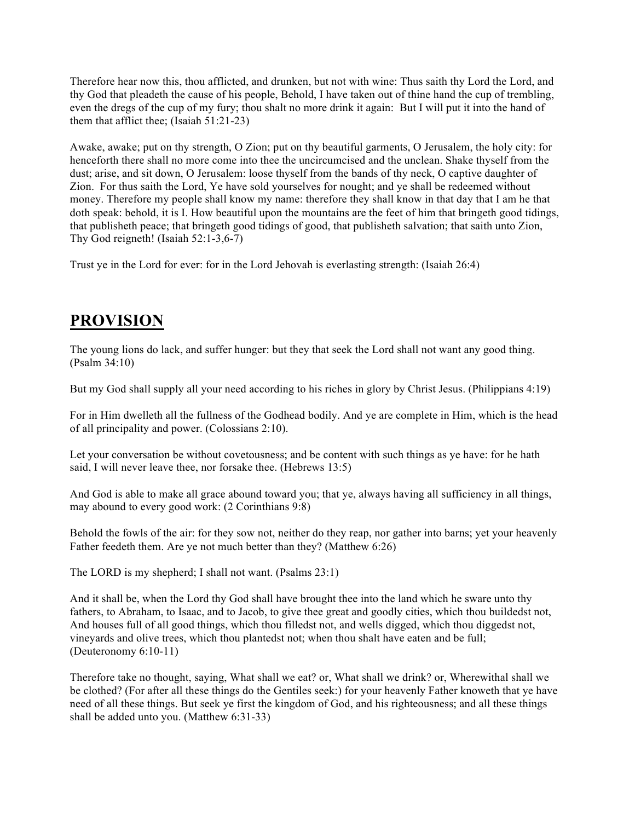Therefore hear now this, thou afflicted, and drunken, but not with wine: Thus saith thy Lord the Lord, and thy God that pleadeth the cause of his people, Behold, I have taken out of thine hand the cup of trembling, even the dregs of the cup of my fury; thou shalt no more drink it again: But I will put it into the hand of them that afflict thee; (Isaiah 51:21-23)

Awake, awake; put on thy strength, O Zion; put on thy beautiful garments, O Jerusalem, the holy city: for henceforth there shall no more come into thee the uncircumcised and the unclean. Shake thyself from the dust; arise, and sit down, O Jerusalem: loose thyself from the bands of thy neck, O captive daughter of Zion. For thus saith the Lord, Ye have sold yourselves for nought; and ye shall be redeemed without money. Therefore my people shall know my name: therefore they shall know in that day that I am he that doth speak: behold, it is I. How beautiful upon the mountains are the feet of him that bringeth good tidings, that publisheth peace; that bringeth good tidings of good, that publisheth salvation; that saith unto Zion, Thy God reigneth! (Isaiah 52:1-3,6-7)

Trust ye in the Lord for ever: for in the Lord Jehovah is everlasting strength: (Isaiah 26:4)

## **PROVISION**

The young lions do lack, and suffer hunger: but they that seek the Lord shall not want any good thing. (Psalm 34:10)

But my God shall supply all your need according to his riches in glory by Christ Jesus. (Philippians 4:19)

For in Him dwelleth all the fullness of the Godhead bodily. And ye are complete in Him, which is the head of all principality and power. (Colossians 2:10).

Let your conversation be without covetousness; and be content with such things as ye have: for he hath said, I will never leave thee, nor forsake thee. (Hebrews 13:5)

And God is able to make all grace abound toward you; that ye, always having all sufficiency in all things, may abound to every good work: (2 Corinthians 9:8)

Behold the fowls of the air: for they sow not, neither do they reap, nor gather into barns; yet your heavenly Father feedeth them. Are ye not much better than they? (Matthew 6:26)

The LORD is my shepherd; I shall not want. (Psalms 23:1)

And it shall be, when the Lord thy God shall have brought thee into the land which he sware unto thy fathers, to Abraham, to Isaac, and to Jacob, to give thee great and goodly cities, which thou buildedst not, And houses full of all good things, which thou filledst not, and wells digged, which thou diggedst not, vineyards and olive trees, which thou plantedst not; when thou shalt have eaten and be full; (Deuteronomy 6:10-11)

Therefore take no thought, saying, What shall we eat? or, What shall we drink? or, Wherewithal shall we be clothed? (For after all these things do the Gentiles seek:) for your heavenly Father knoweth that ye have need of all these things. But seek ye first the kingdom of God, and his righteousness; and all these things shall be added unto you. (Matthew 6:31-33)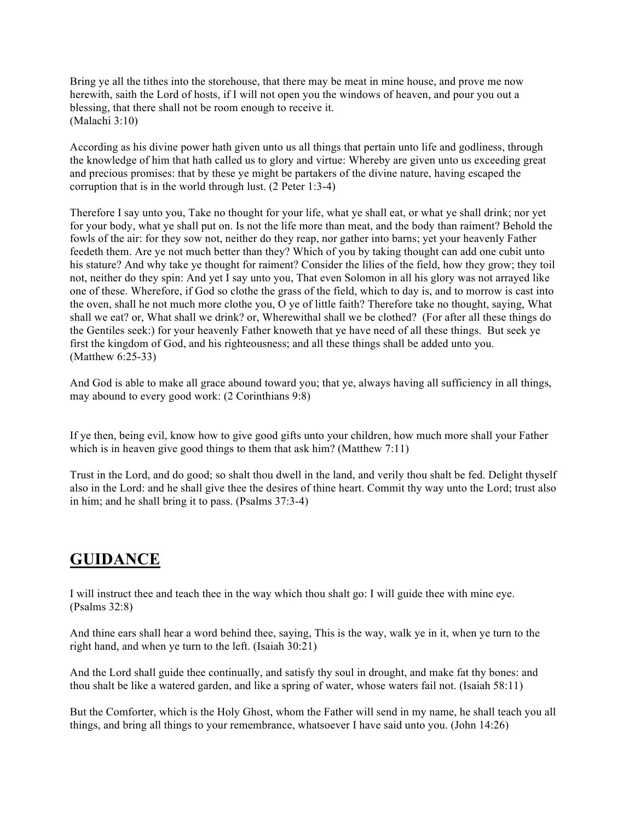Bring ye all the tithes into the storehouse, that there may be meat in mine house, and prove me now herewith, saith the Lord of hosts, if I will not open you the windows of heaven, and pour you out a blessing, that there shall not be room enough to receive it. (Malachi 3:10)

According as his divine power hath given unto us all things that pertain unto life and godliness, through the knowledge of him that hath called us to glory and virtue: Whereby are given unto us exceeding great and precious promises: that by these ye might be partakers of the divine nature, having escaped the corruption that is in the world through lust. (2 Peter 1:3-4)

Therefore I say unto you, Take no thought for your life, what ye shall eat, or what ye shall drink; nor yet for your body, what ye shall put on. Is not the life more than meat, and the body than raiment? Behold the fowls of the air: for they sow not, neither do they reap, nor gather into barns; yet your heavenly Father feedeth them. Are ye not much better than they? Which of you by taking thought can add one cubit unto his stature? And why take ye thought for raiment? Consider the lilies of the field, how they grow; they toil not, neither do they spin: And yet I say unto you, That even Solomon in all his glory was not arrayed like one of these. Wherefore, if God so clothe the grass of the field, which to day is, and to morrow is cast into the oven, shall he not much more clothe you, O ye of little faith? Therefore take no thought, saying, What shall we eat? or, What shall we drink? or, Wherewithal shall we be clothed? (For after all these things do the Gentiles seek:) for your heavenly Father knoweth that ye have need of all these things. But seek ye first the kingdom of God, and his righteousness; and all these things shall be added unto you. (Matthew 6:25-33)

And God is able to make all grace abound toward you; that ye, always having all sufficiency in all things, may abound to every good work: (2 Corinthians 9:8)

If ye then, being evil, know how to give good gifts unto your children, how much more shall your Father which is in heaven give good things to them that ask him? (Matthew 7:11)

Trust in the Lord, and do good; so shalt thou dwell in the land, and verily thou shalt be fed. Delight thyself also in the Lord: and he shall give thee the desires of thine heart. Commit thy way unto the Lord; trust also in him; and he shall bring it to pass. (Psalms 37:3-4)

### **GUIDANCE**

I will instruct thee and teach thee in the way which thou shalt go: I will guide thee with mine eye. (Psalms 32:8)

And thine ears shall hear a word behind thee, saying, This is the way, walk ye in it, when ye turn to the right hand, and when ye turn to the left. (Isaiah 30:21)

And the Lord shall guide thee continually, and satisfy thy soul in drought, and make fat thy bones: and thou shalt be like a watered garden, and like a spring of water, whose waters fail not. (Isaiah 58:11)

But the Comforter, which is the Holy Ghost, whom the Father will send in my name, he shall teach you all things, and bring all things to your remembrance, whatsoever I have said unto you. (John 14:26)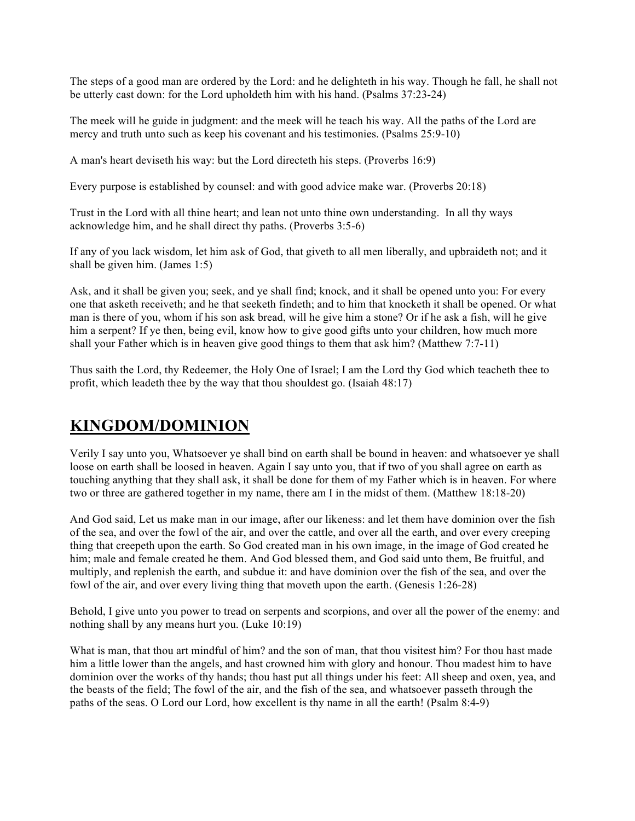The steps of a good man are ordered by the Lord: and he delighteth in his way. Though he fall, he shall not be utterly cast down: for the Lord upholdeth him with his hand. (Psalms 37:23-24)

The meek will he guide in judgment: and the meek will he teach his way. All the paths of the Lord are mercy and truth unto such as keep his covenant and his testimonies. (Psalms 25:9-10)

A man's heart deviseth his way: but the Lord directeth his steps. (Proverbs 16:9)

Every purpose is established by counsel: and with good advice make war. (Proverbs 20:18)

Trust in the Lord with all thine heart; and lean not unto thine own understanding. In all thy ways acknowledge him, and he shall direct thy paths. (Proverbs 3:5-6)

If any of you lack wisdom, let him ask of God, that giveth to all men liberally, and upbraideth not; and it shall be given him. (James 1:5)

Ask, and it shall be given you; seek, and ye shall find; knock, and it shall be opened unto you: For every one that asketh receiveth; and he that seeketh findeth; and to him that knocketh it shall be opened. Or what man is there of you, whom if his son ask bread, will he give him a stone? Or if he ask a fish, will he give him a serpent? If ye then, being evil, know how to give good gifts unto your children, how much more shall your Father which is in heaven give good things to them that ask him? (Matthew 7:7-11)

Thus saith the Lord, thy Redeemer, the Holy One of Israel; I am the Lord thy God which teacheth thee to profit, which leadeth thee by the way that thou shouldest go. (Isaiah 48:17)

# **KINGDOM/DOMINION**

Verily I say unto you, Whatsoever ye shall bind on earth shall be bound in heaven: and whatsoever ye shall loose on earth shall be loosed in heaven. Again I say unto you, that if two of you shall agree on earth as touching anything that they shall ask, it shall be done for them of my Father which is in heaven. For where two or three are gathered together in my name, there am I in the midst of them. (Matthew 18:18-20)

And God said, Let us make man in our image, after our likeness: and let them have dominion over the fish of the sea, and over the fowl of the air, and over the cattle, and over all the earth, and over every creeping thing that creepeth upon the earth. So God created man in his own image, in the image of God created he him; male and female created he them. And God blessed them, and God said unto them, Be fruitful, and multiply, and replenish the earth, and subdue it: and have dominion over the fish of the sea, and over the fowl of the air, and over every living thing that moveth upon the earth. (Genesis 1:26-28)

Behold, I give unto you power to tread on serpents and scorpions, and over all the power of the enemy: and nothing shall by any means hurt you. (Luke 10:19)

What is man, that thou art mindful of him? and the son of man, that thou visitest him? For thou hast made him a little lower than the angels, and hast crowned him with glory and honour. Thou madest him to have dominion over the works of thy hands; thou hast put all things under his feet: All sheep and oxen, yea, and the beasts of the field; The fowl of the air, and the fish of the sea, and whatsoever passeth through the paths of the seas. O Lord our Lord, how excellent is thy name in all the earth! (Psalm 8:4-9)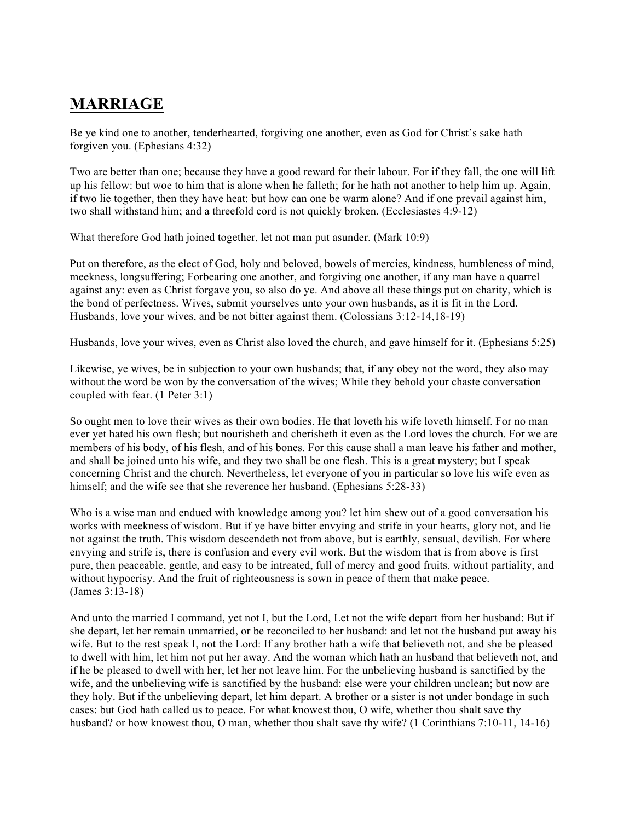# **MARRIAGE**

Be ye kind one to another, tenderhearted, forgiving one another, even as God for Christ's sake hath forgiven you. (Ephesians 4:32)

Two are better than one; because they have a good reward for their labour. For if they fall, the one will lift up his fellow: but woe to him that is alone when he falleth; for he hath not another to help him up. Again, if two lie together, then they have heat: but how can one be warm alone? And if one prevail against him, two shall withstand him; and a threefold cord is not quickly broken. (Ecclesiastes 4:9-12)

What therefore God hath joined together, let not man put asunder. (Mark 10:9)

Put on therefore, as the elect of God, holy and beloved, bowels of mercies, kindness, humbleness of mind, meekness, longsuffering; Forbearing one another, and forgiving one another, if any man have a quarrel against any: even as Christ forgave you, so also do ye. And above all these things put on charity, which is the bond of perfectness. Wives, submit yourselves unto your own husbands, as it is fit in the Lord. Husbands, love your wives, and be not bitter against them. (Colossians 3:12-14,18-19)

Husbands, love your wives, even as Christ also loved the church, and gave himself for it. (Ephesians 5:25)

Likewise, ye wives, be in subjection to your own husbands; that, if any obey not the word, they also may without the word be won by the conversation of the wives; While they behold your chaste conversation coupled with fear. (1 Peter 3:1)

So ought men to love their wives as their own bodies. He that loveth his wife loveth himself. For no man ever yet hated his own flesh; but nourisheth and cherisheth it even as the Lord loves the church. For we are members of his body, of his flesh, and of his bones. For this cause shall a man leave his father and mother, and shall be joined unto his wife, and they two shall be one flesh. This is a great mystery; but I speak concerning Christ and the church. Nevertheless, let everyone of you in particular so love his wife even as himself; and the wife see that she reverence her husband. (Ephesians 5:28-33)

Who is a wise man and endued with knowledge among you? let him shew out of a good conversation his works with meekness of wisdom. But if ye have bitter envying and strife in your hearts, glory not, and lie not against the truth. This wisdom descendeth not from above, but is earthly, sensual, devilish. For where envying and strife is, there is confusion and every evil work. But the wisdom that is from above is first pure, then peaceable, gentle, and easy to be intreated, full of mercy and good fruits, without partiality, and without hypocrisy. And the fruit of righteousness is sown in peace of them that make peace. (James 3:13-18)

And unto the married I command, yet not I, but the Lord, Let not the wife depart from her husband: But if she depart, let her remain unmarried, or be reconciled to her husband: and let not the husband put away his wife. But to the rest speak I, not the Lord: If any brother hath a wife that believeth not, and she be pleased to dwell with him, let him not put her away. And the woman which hath an husband that believeth not, and if he be pleased to dwell with her, let her not leave him. For the unbelieving husband is sanctified by the wife, and the unbelieving wife is sanctified by the husband: else were your children unclean; but now are they holy. But if the unbelieving depart, let him depart. A brother or a sister is not under bondage in such cases: but God hath called us to peace. For what knowest thou, O wife, whether thou shalt save thy husband? or how knowest thou, O man, whether thou shalt save thy wife? (1 Corinthians 7:10-11, 14-16)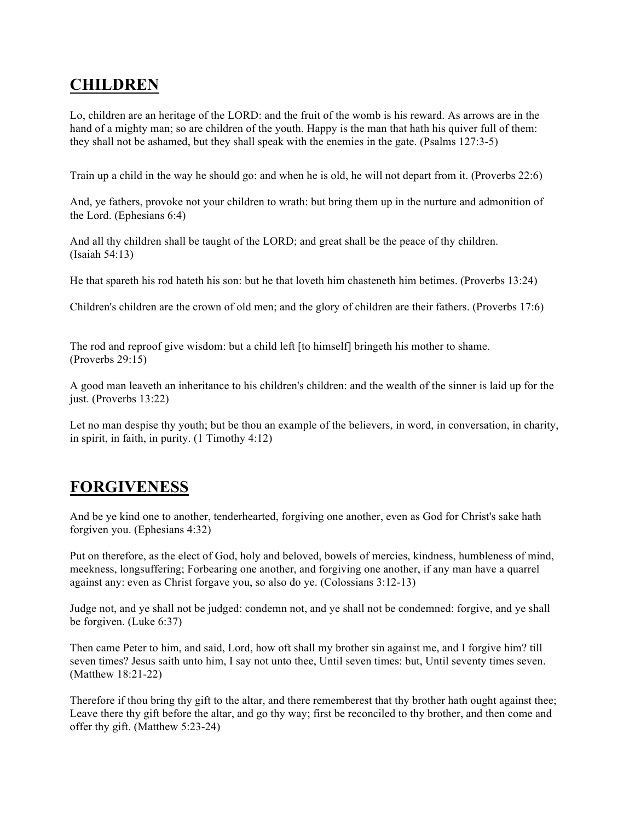# **CHILDREN**

Lo, children are an heritage of the LORD: and the fruit of the womb is his reward. As arrows are in the hand of a mighty man; so are children of the youth. Happy is the man that hath his quiver full of them: they shall not be ashamed, but they shall speak with the enemies in the gate. (Psalms 127:3-5)

Train up a child in the way he should go: and when he is old, he will not depart from it. (Proverbs 22:6)

And, ye fathers, provoke not your children to wrath: but bring them up in the nurture and admonition of the Lord. (Ephesians 6:4)

And all thy children shall be taught of the LORD; and great shall be the peace of thy children. (Isaiah 54:13)

He that spareth his rod hateth his son: but he that loveth him chasteneth him betimes. (Proverbs 13:24)

Children's children are the crown of old men; and the glory of children are their fathers. (Proverbs 17:6)

The rod and reproof give wisdom: but a child left [to himself] bringeth his mother to shame. (Proverbs 29:15)

A good man leaveth an inheritance to his children's children: and the wealth of the sinner is laid up for the just. (Proverbs 13:22)

Let no man despise thy youth; but be thou an example of the believers, in word, in conversation, in charity, in spirit, in faith, in purity. (1 Timothy 4:12)

### **FORGIVENESS**

And be ye kind one to another, tenderhearted, forgiving one another, even as God for Christ's sake hath forgiven you. (Ephesians 4:32)

Put on therefore, as the elect of God, holy and beloved, bowels of mercies, kindness, humbleness of mind, meekness, longsuffering; Forbearing one another, and forgiving one another, if any man have a quarrel against any: even as Christ forgave you, so also do ye. (Colossians 3:12-13)

Judge not, and ye shall not be judged: condemn not, and ye shall not be condemned: forgive, and ye shall be forgiven. (Luke 6:37)

Then came Peter to him, and said, Lord, how oft shall my brother sin against me, and I forgive him? till seven times? Jesus saith unto him, I say not unto thee, Until seven times: but, Until seventy times seven. (Matthew 18:21-22)

Therefore if thou bring thy gift to the altar, and there rememberest that thy brother hath ought against thee; Leave there thy gift before the altar, and go thy way; first be reconciled to thy brother, and then come and offer thy gift. (Matthew 5:23-24)